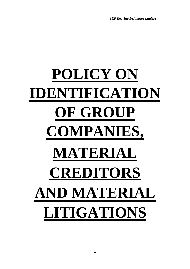# **POLICY ON IDENTIFICATION OF GROUP COMPANIES, MATERIAL CREDITORS AND MATERIAL LITIGATIONS**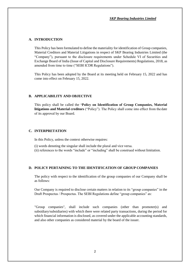## **A. INTRODUCTION**

This Policy has been formulated to define the materiality for identification of Group companies, Material Creditors and Material Litigations in respect of SKP Bearing Industries Limited (the "Company"), pursuant to the disclosure requirements under Schedule VI of Securities and Exchange Board of India (Issue of Capital and Disclosure Requirements) Regulations, 2018, as amended from time to time ("SEBI ICDR Regulations").

This Policy has been adopted by the Board at its meeting held on February 15, 2022 and has come into effect on February 15, 2022.

# **B. APPLICABILITY AND OBJECTIVE**

This policy shall be called the **'Policy on Identification of Group Companies, Material litigations and Material creditors** ("Policy"). The Policy shall come into effect from thedate of its approval by our Board.

## **C. INTERPRETATION**

In this Policy, unless the context otherwise requires:

- (i) words denoting the singular shall include the plural and vice versa.
- (ii) references to the words "include" or "including" shall be construed without limitation.

## **D. POLICY PERTAINING TO THE IDENTIFICATION OF GROUP COMPANIES**

The policy with respect to the identification of the group companies of our Company shall be as follows:

Our Company is required to disclose certain matters in relation to its "group companies" in the Draft Prospectus / Prospectus. The SEBI Regulations define "group companies" as:

"Group companies", shall include such companies (other than promoter(s) and subsidiary/subsidiaries) with which there were related party transactions, during the period for which financial information is disclosed, as covered under the applicable accounting standards, and also other companies as considered material by the board of the issuer.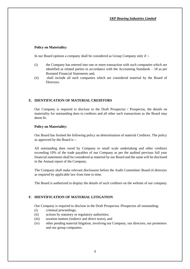## **Policy on Materiality:**

In our Board opinion a company shall be considered as Group Company only if :-

- (i) the Company has entered into one or more transaction with such companies which are identified as related parties in accordance with the Accounting Standards – 18 as per Restated Financial Statements and,
- (ii) shall include all such companies which are considered material by the Board of Directors.

# **E. IDENTIFICATION OF MATERIAL CREDITORS**

Our Company is required to disclose in the Draft Prospectus / Prospectus, the details on materiality for outstanding dues to creditors and all other such transactions as the Board may deem fit.

# **Policy on Materiality:**

Our Board has formed the following policy on determination of material Creditors. The policy as approved by the Board is :-

All outstanding dues owed by Company to small scale undertaking and other creditors exceeding 10% of the trade payables of our Company as per the audited previous full year financial statements shall be considered as material by our Board and the same will be disclosed in the Annual report of the Company.

The Company shall make relevant disclosures before the Audit Committee/ Board of directors as required by applicable law from time to time.

The Board is authorized to display the details of such creditors on the website of our company.

# **F. IDENTIFICATION OF MATERIAL LITIGATION**

Our Company is required to disclose in the Draft Prospectus /Prospectus all outstanding:

- (i) criminal proceedings;
- (ii) actions by statutory or regulatory authorities;
- (iii) taxation matters (indirect and direct taxes); and
- (iv) other pending material litigation, involving our Company, our directors, our promoters and our group companies.